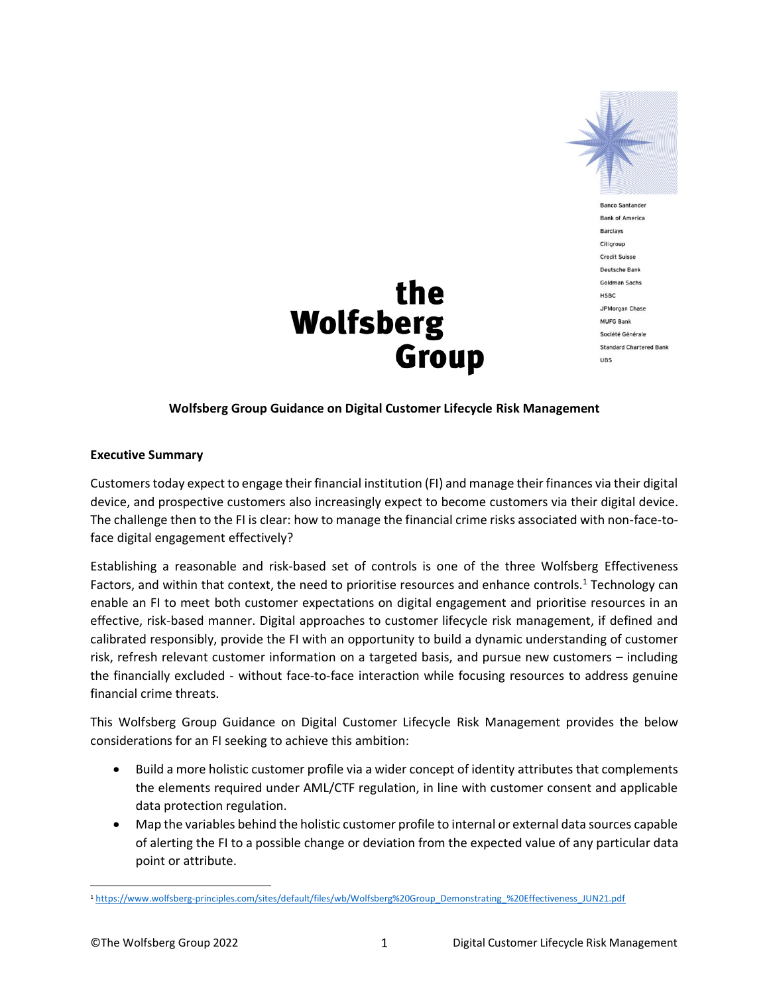

**Banco Santander Bank of America Barclays** Citigroup **Credit Suisse** Deutsche Bank Goldman Sachs HSBC JPMorgan Chase **MUFG Bank** Société Générale **Standard Chartered Bank UBS** 

# the **Wolfsberg Group**

#### **Wolfsberg Group Guidance on Digital Customer Lifecycle Risk Management**

#### **Executive Summary**

Customers today expect to engage their financial institution (FI) and manage their finances via their digital device, and prospective customers also increasingly expect to become customers via their digital device. The challenge then to the FI is clear: how to manage the financial crime risks associated with non-face-toface digital engagement effectively?

Establishing a reasonable and risk-based set of controls is one of the three Wolfsberg Effectiveness Factors, and within that context, the need to prioritise resources and enhance controls.<sup>1</sup> Technology can enable an FI to meet both customer expectations on digital engagement and prioritise resources in an effective, risk-based manner. Digital approaches to customer lifecycle risk management, if defined and calibrated responsibly, provide the FI with an opportunity to build a dynamic understanding of customer risk, refresh relevant customer information on a targeted basis, and pursue new customers – including the financially excluded - without face-to-face interaction while focusing resources to address genuine financial crime threats.

This Wolfsberg Group Guidance on Digital Customer Lifecycle Risk Management provides the below considerations for an FI seeking to achieve this ambition:

- Build a more holistic customer profile via a wider concept of identity attributes that complements the elements required under AML/CTF regulation, in line with customer consent and applicable data protection regulation.
- Map the variables behind the holistic customer profile to internal or external data sources capable of alerting the FI to a possible change or deviation from the expected value of any particular data point or attribute.

<sup>1</sup> [https://www.wolfsberg-principles.com/sites/default/files/wb/Wolfsberg%20Group\\_Demonstrating\\_%20Effectiveness\\_JUN21.pdf](https://www.wolfsberg-principles.com/sites/default/files/wb/Wolfsberg%20Group_Demonstrating_%20Effectiveness_JUN21.pdf)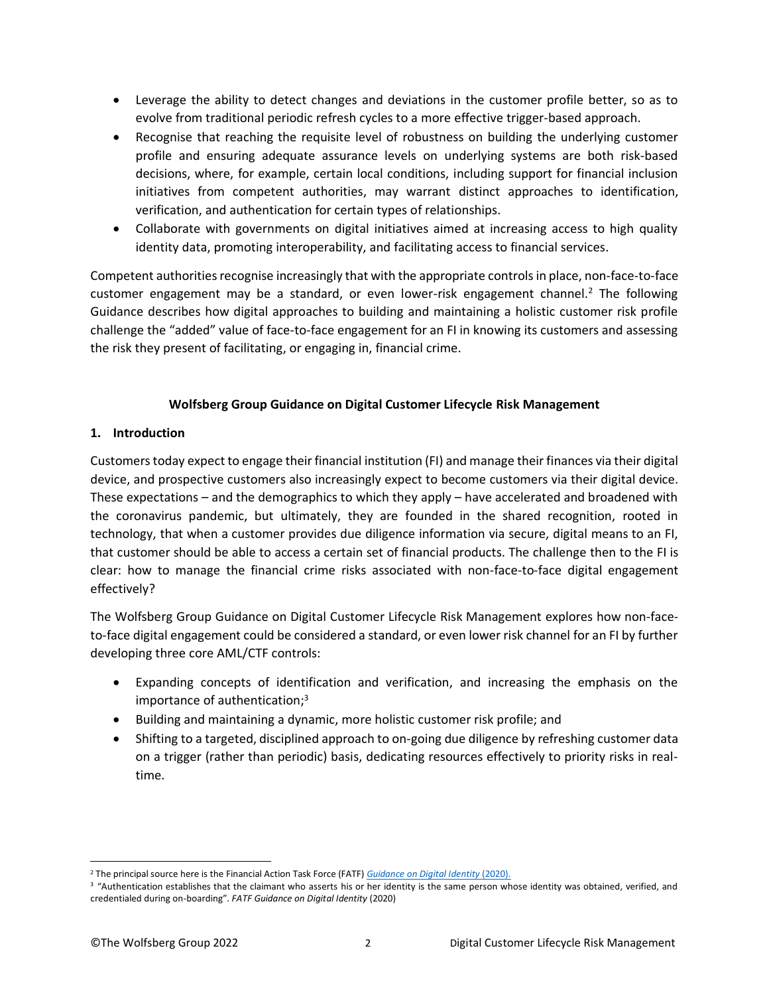- Leverage the ability to detect changes and deviations in the customer profile better, so as to evolve from traditional periodic refresh cycles to a more effective trigger-based approach.
- Recognise that reaching the requisite level of robustness on building the underlying customer profile and ensuring adequate assurance levels on underlying systems are both risk-based decisions, where, for example, certain local conditions, including support for financial inclusion initiatives from competent authorities, may warrant distinct approaches to identification, verification, and authentication for certain types of relationships.
- Collaborate with governments on digital initiatives aimed at increasing access to high quality identity data, promoting interoperability, and facilitating access to financial services.

Competent authorities recognise increasingly that with the appropriate controls in place, non-face-to-face customer engagement may be a standard, or even lower-risk engagement channel.<sup>2</sup> The following Guidance describes how digital approaches to building and maintaining a holistic customer risk profile challenge the "added" value of face-to-face engagement for an FI in knowing its customers and assessing the risk they present of facilitating, or engaging in, financial crime.

## **Wolfsberg Group Guidance on Digital Customer Lifecycle Risk Management**

### **1. Introduction**

Customerstoday expect to engage their financial institution (FI) and manage their finances via their digital device, and prospective customers also increasingly expect to become customers via their digital device. These expectations – and the demographics to which they apply – have accelerated and broadened with the coronavirus pandemic, but ultimately, they are founded in the shared recognition, rooted in technology, that when a customer provides due diligence information via secure, digital means to an FI, that customer should be able to access a certain set of financial products. The challenge then to the FI is clear: how to manage the financial crime risks associated with non-face-to-face digital engagement effectively?

The Wolfsberg Group Guidance on Digital Customer Lifecycle Risk Management explores how non-faceto-face digital engagement could be considered a standard, or even lower risk channel for an FI by further developing three core AML/CTF controls:

- Expanding concepts of identification and verification, and increasing the emphasis on the importance of authentication; 3
- Building and maintaining a dynamic, more holistic customer risk profile; and
- Shifting to a targeted, disciplined approach to on-going due diligence by refreshing customer data on a trigger (rather than periodic) basis, dedicating resources effectively to priority risks in realtime.

<sup>2</sup> The principal source here is the Financial Action Task Force (FATF) *[Guidance on Digital Identity](https://www.fatf-gafi.org/media/fatf/documents/recommendations/pdfs/Guidance-on-Digital-Identity.pdf)* (2020).

<sup>&</sup>lt;sup>3</sup> "Authentication establishes that the claimant who asserts his or her identity is the same person whose identity was obtained, verified, and credentialed during on-boarding". *FATF Guidance on Digital Identity* (2020)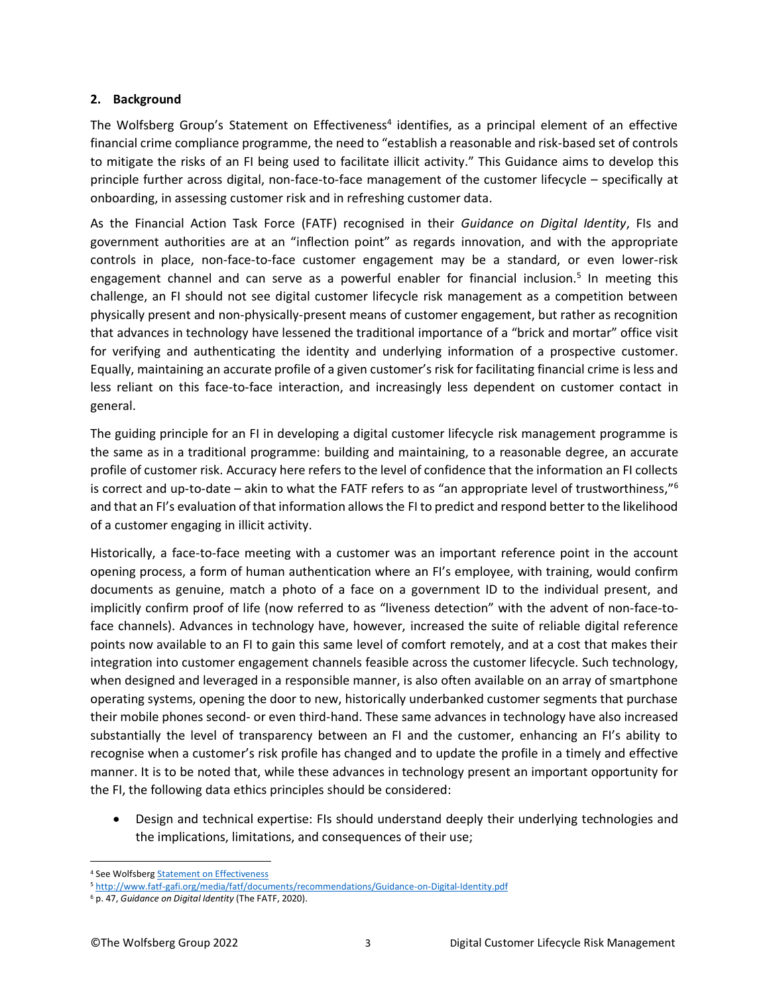#### **2. Background**

The Wolfsberg Group's Statement on Effectiveness<sup>4</sup> identifies, as a principal element of an effective financial crime compliance programme, the need to "establish a reasonable and risk-based set of controls to mitigate the risks of an FI being used to facilitate illicit activity." This Guidance aims to develop this principle further across digital, non-face-to-face management of the customer lifecycle – specifically at onboarding, in assessing customer risk and in refreshing customer data.

As the Financial Action Task Force (FATF) recognised in their *Guidance on Digital Identity*, FIs and government authorities are at an "inflection point" as regards innovation, and with the appropriate controls in place, non-face-to-face customer engagement may be a standard, or even lower-risk engagement channel and can serve as a powerful enabler for financial inclusion.<sup>5</sup> In meeting this challenge, an FI should not see digital customer lifecycle risk management as a competition between physically present and non-physically-present means of customer engagement, but rather as recognition that advances in technology have lessened the traditional importance of a "brick and mortar" office visit for verifying and authenticating the identity and underlying information of a prospective customer. Equally, maintaining an accurate profile of a given customer's risk for facilitating financial crime is less and less reliant on this face-to-face interaction, and increasingly less dependent on customer contact in general.

The guiding principle for an FI in developing a digital customer lifecycle risk management programme is the same as in a traditional programme: building and maintaining, to a reasonable degree, an accurate profile of customer risk. Accuracy here refers to the level of confidence that the information an FI collects is correct and up-to-date – akin to what the FATF refers to as "an appropriate level of trustworthiness,"<sup>6</sup> and that an FI's evaluation of that information allows the FI to predict and respond better to the likelihood of a customer engaging in illicit activity.

Historically, a face-to-face meeting with a customer was an important reference point in the account opening process, a form of human authentication where an FI's employee, with training, would confirm documents as genuine, match a photo of a face on a government ID to the individual present, and implicitly confirm proof of life (now referred to as "liveness detection" with the advent of non-face-toface channels). Advances in technology have, however, increased the suite of reliable digital reference points now available to an FI to gain this same level of comfort remotely, and at a cost that makes their integration into customer engagement channels feasible across the customer lifecycle. Such technology, when designed and leveraged in a responsible manner, is also often available on an array of smartphone operating systems, opening the door to new, historically underbanked customer segments that purchase their mobile phones second- or even third-hand. These same advances in technology have also increased substantially the level of transparency between an FI and the customer, enhancing an FI's ability to recognise when a customer's risk profile has changed and to update the profile in a timely and effective manner. It is to be noted that, while these advances in technology present an important opportunity for the FI, the following data ethics principles should be considered:

• Design and technical expertise: FIs should understand deeply their underlying technologies and the implications, limitations, and consequences of their use;

<sup>4</sup> See Wolfsberg **Statement on Effectiveness** 

<sup>5</sup> <http://www.fatf-gafi.org/media/fatf/documents/recommendations/Guidance-on-Digital-Identity.pdf>

<sup>6</sup> p. 47, *Guidance on Digital Identity* (The FATF, 2020).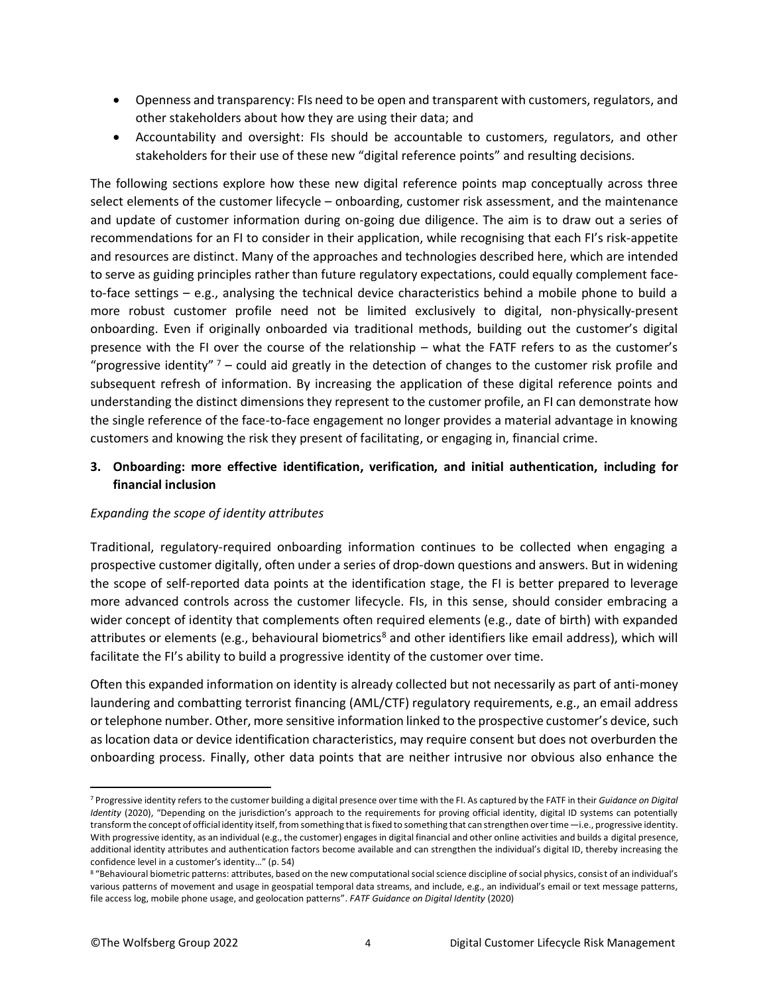- Openness and transparency: FIs need to be open and transparent with customers, regulators, and other stakeholders about how they are using their data; and
- Accountability and oversight: FIs should be accountable to customers, regulators, and other stakeholders for their use of these new "digital reference points" and resulting decisions.

The following sections explore how these new digital reference points map conceptually across three select elements of the customer lifecycle – onboarding, customer risk assessment, and the maintenance and update of customer information during on-going due diligence. The aim is to draw out a series of recommendations for an FI to consider in their application, while recognising that each FI's risk-appetite and resources are distinct. Many of the approaches and technologies described here, which are intended to serve as guiding principles rather than future regulatory expectations, could equally complement faceto-face settings – e.g., analysing the technical device characteristics behind a mobile phone to build a more robust customer profile need not be limited exclusively to digital, non-physically-present onboarding. Even if originally onboarded via traditional methods, building out the customer's digital presence with the FI over the course of the relationship – what the FATF refers to as the customer's "progressive identity"  $7$  – could aid greatly in the detection of changes to the customer risk profile and subsequent refresh of information. By increasing the application of these digital reference points and understanding the distinct dimensions they represent to the customer profile, an FI can demonstrate how the single reference of the face-to-face engagement no longer provides a material advantage in knowing customers and knowing the risk they present of facilitating, or engaging in, financial crime.

## **3. Onboarding: more effective identification, verification, and initial authentication, including for financial inclusion**

#### *Expanding the scope of identity attributes*

Traditional, regulatory-required onboarding information continues to be collected when engaging a prospective customer digitally, often under a series of drop-down questions and answers. But in widening the scope of self-reported data points at the identification stage, the FI is better prepared to leverage more advanced controls across the customer lifecycle. FIs, in this sense, should consider embracing a wider concept of identity that complements often required elements (e.g., date of birth) with expanded attributes or elements (e.g., behavioural biometrics<sup>8</sup> and other identifiers like email address), which will facilitate the FI's ability to build a progressive identity of the customer over time.

Often this expanded information on identity is already collected but not necessarily as part of anti-money laundering and combatting terrorist financing (AML/CTF) regulatory requirements, e.g., an email address or telephone number. Other, more sensitive information linked to the prospective customer's device, such as location data or device identification characteristics, may require consent but does not overburden the onboarding process. Finally, other data points that are neither intrusive nor obvious also enhance the

<sup>7</sup> Progressive identity refers to the customer building a digital presence over time with the FI. As captured by the FATF in their *Guidance on Digital Identity* (2020), "Depending on the jurisdiction's approach to the requirements for proving official identity, digital ID systems can potentially transform the concept of official identity itself, from something that is fixed to something that can strengthen over time—i.e., progressive identity. With progressive identity, as an individual (e.g., the customer) engages in digital financial and other online activities and builds a digital presence, additional identity attributes and authentication factors become available and can strengthen the individual's digital ID, thereby increasing the confidence level in a customer's identity…" (p. 54)

<sup>8 &</sup>quot;Behavioural biometric patterns: attributes, based on the new computational social science discipline of social physics, consist of an individual's various patterns of movement and usage in geospatial temporal data streams, and include, e.g., an individual's email or text message patterns, file access log, mobile phone usage, and geolocation patterns". *FATF Guidance on Digital Identity* (2020)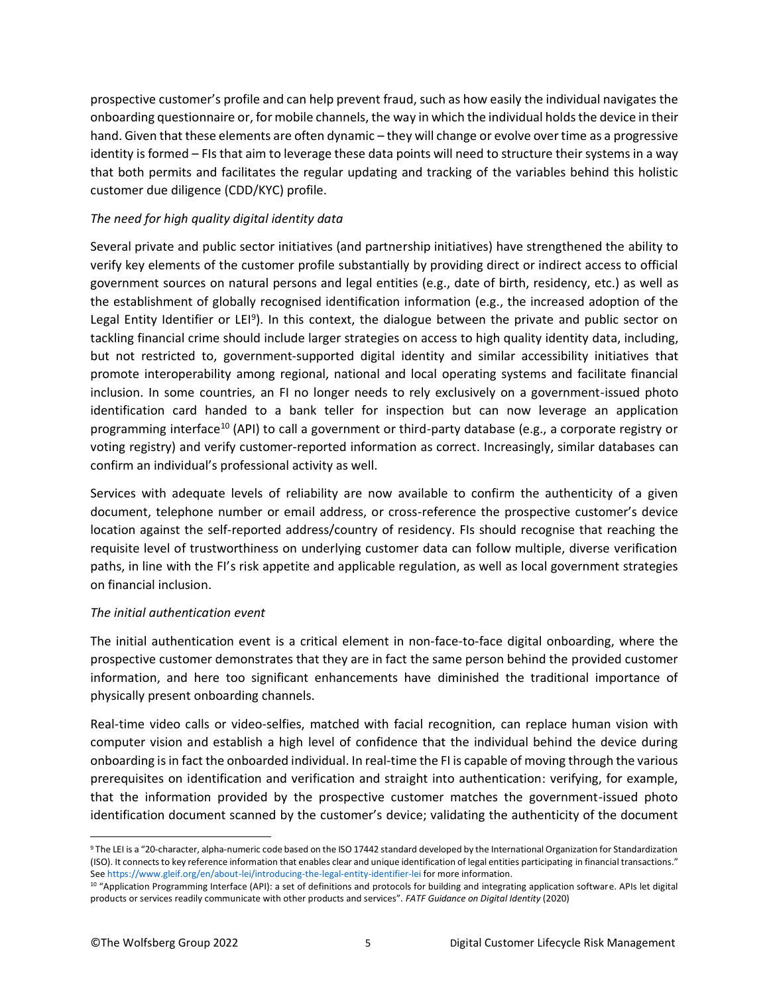prospective customer's profile and can help prevent fraud, such as how easily the individual navigates the onboarding questionnaire or, for mobile channels, the way in which the individual holds the device in their hand. Given that these elements are often dynamic – they will change or evolve over time as a progressive identity is formed – FIs that aim to leverage these data points will need to structure their systems in a way that both permits and facilitates the regular updating and tracking of the variables behind this holistic customer due diligence (CDD/KYC) profile.

#### *The need for high quality digital identity data*

Several private and public sector initiatives (and partnership initiatives) have strengthened the ability to verify key elements of the customer profile substantially by providing direct or indirect access to official government sources on natural persons and legal entities (e.g., date of birth, residency, etc.) as well as the establishment of globally recognised identification information (e.g., the increased adoption of the Legal Entity Identifier or LEI<sup>9</sup>). In this context, the dialogue between the private and public sector on tackling financial crime should include larger strategies on access to high quality identity data, including, but not restricted to, government-supported digital identity and similar accessibility initiatives that promote interoperability among regional, national and local operating systems and facilitate financial inclusion. In some countries, an FI no longer needs to rely exclusively on a government-issued photo identification card handed to a bank teller for inspection but can now leverage an application programming interface<sup>10</sup> (API) to call a government or third-party database (e.g., a corporate registry or voting registry) and verify customer-reported information as correct. Increasingly, similar databases can confirm an individual's professional activity as well.

Services with adequate levels of reliability are now available to confirm the authenticity of a given document, telephone number or email address, or cross-reference the prospective customer's device location against the self-reported address/country of residency. FIs should recognise that reaching the requisite level of trustworthiness on underlying customer data can follow multiple, diverse verification paths, in line with the FI's risk appetite and applicable regulation, as well as local government strategies on financial inclusion.

#### *The initial authentication event*

The initial authentication event is a critical element in non-face-to-face digital onboarding, where the prospective customer demonstrates that they are in fact the same person behind the provided customer information, and here too significant enhancements have diminished the traditional importance of physically present onboarding channels.

Real-time video calls or video-selfies, matched with facial recognition, can replace human vision with computer vision and establish a high level of confidence that the individual behind the device during onboarding is in fact the onboarded individual. In real-time the FI is capable of moving through the various prerequisites on identification and verification and straight into authentication: verifying, for example, that the information provided by the prospective customer matches the government-issued photo identification document scanned by the customer's device; validating the authenticity of the document

<sup>&</sup>lt;sup>9</sup> The LEI is a "20-character, alpha-numeric code based on the ISO 17442 standard developed by the International Organization for Standardization (ISO). It connects to key reference information that enables clear and unique identification of legal entities participating in financial transactions." Se[e https://www.gleif.org/en/about-lei/introducing-the-legal-entity-identifier-lei](https://www.gleif.org/en/about-lei/introducing-the-legal-entity-identifier-lei) for more information.

<sup>&</sup>lt;sup>10</sup> "Application Programming Interface (API): a set of definitions and protocols for building and integrating application software. APIs let digital products or services readily communicate with other products and services". *FATF Guidance on Digital Identity* (2020)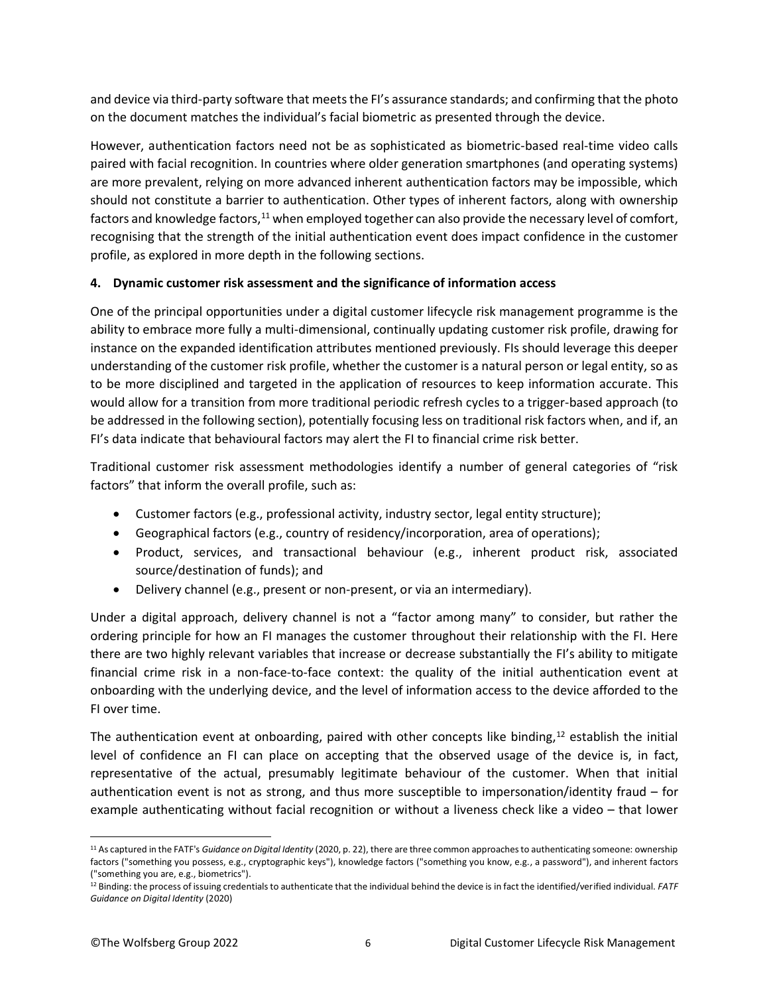and device via third-party software that meets the FI's assurance standards; and confirming that the photo on the document matches the individual's facial biometric as presented through the device.

However, authentication factors need not be as sophisticated as biometric-based real-time video calls paired with facial recognition. In countries where older generation smartphones (and operating systems) are more prevalent, relying on more advanced inherent authentication factors may be impossible, which should not constitute a barrier to authentication. Other types of inherent factors, along with ownership factors and knowledge factors,<sup>11</sup> when employed together can also provide the necessary level of comfort, recognising that the strength of the initial authentication event does impact confidence in the customer profile, as explored in more depth in the following sections.

### **4. Dynamic customer risk assessment and the significance of information access**

One of the principal opportunities under a digital customer lifecycle risk management programme is the ability to embrace more fully a multi-dimensional, continually updating customer risk profile, drawing for instance on the expanded identification attributes mentioned previously. FIs should leverage this deeper understanding of the customer risk profile, whether the customer is a natural person or legal entity, so as to be more disciplined and targeted in the application of resources to keep information accurate. This would allow for a transition from more traditional periodic refresh cycles to a trigger-based approach (to be addressed in the following section), potentially focusing less on traditional risk factors when, and if, an FI's data indicate that behavioural factors may alert the FI to financial crime risk better.

Traditional customer risk assessment methodologies identify a number of general categories of "risk factors" that inform the overall profile, such as:

- Customer factors (e.g., professional activity, industry sector, legal entity structure);
- Geographical factors (e.g., country of residency/incorporation, area of operations);
- Product, services, and transactional behaviour (e.g., inherent product risk, associated source/destination of funds); and
- Delivery channel (e.g., present or non-present, or via an intermediary).

Under a digital approach, delivery channel is not a "factor among many" to consider, but rather the ordering principle for how an FI manages the customer throughout their relationship with the FI. Here there are two highly relevant variables that increase or decrease substantially the FI's ability to mitigate financial crime risk in a non-face-to-face context: the quality of the initial authentication event at onboarding with the underlying device, and the level of information access to the device afforded to the FI over time.

The authentication event at onboarding, paired with other concepts like binding, $12$  establish the initial level of confidence an FI can place on accepting that the observed usage of the device is, in fact, representative of the actual, presumably legitimate behaviour of the customer. When that initial authentication event is not as strong, and thus more susceptible to impersonation/identity fraud – for example authenticating without facial recognition or without a liveness check like a video – that lower

<sup>11</sup> As captured in the FATF's *Guidance on Digital Identity* (2020, p. 22), there are three common approaches to authenticating someone: ownership factors ("something you possess, e.g., cryptographic keys"), knowledge factors ("something you know, e.g., a password"), and inherent factors ("something you are, e.g., biometrics").

<sup>12</sup> Binding: the process of issuing credentials to authenticate that the individual behind the device is in fact the identified/verified individual. *FATF Guidance on Digital Identity* (2020)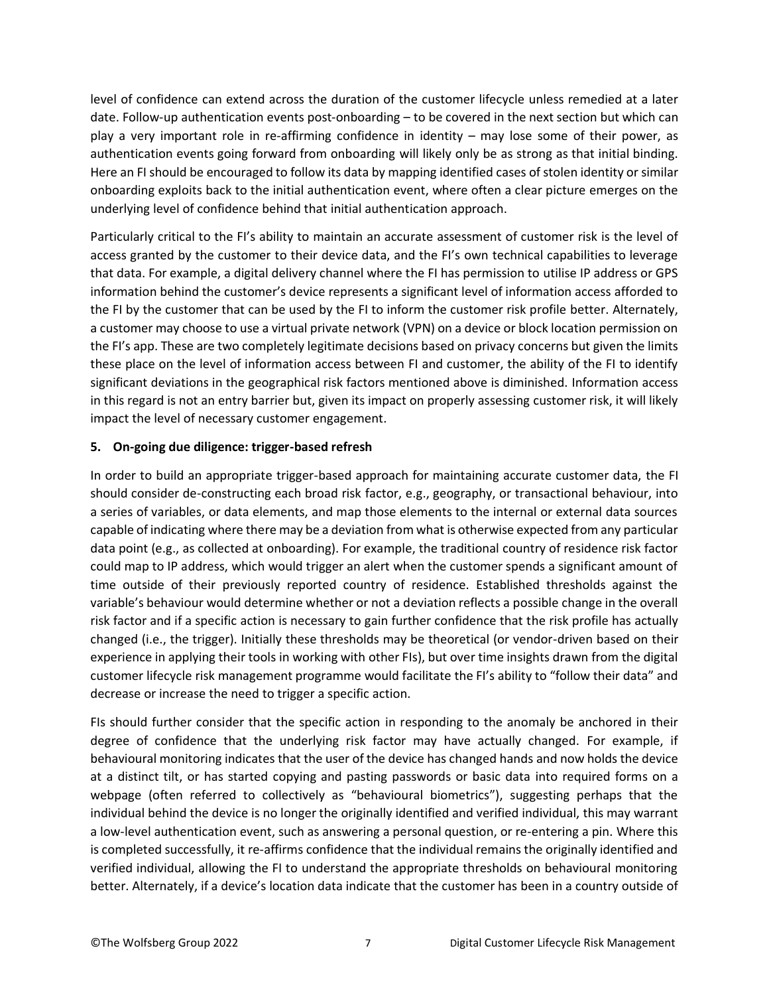level of confidence can extend across the duration of the customer lifecycle unless remedied at a later date. Follow-up authentication events post-onboarding – to be covered in the next section but which can play a very important role in re-affirming confidence in identity – may lose some of their power, as authentication events going forward from onboarding will likely only be as strong as that initial binding. Here an FI should be encouraged to follow its data by mapping identified cases of stolen identity or similar onboarding exploits back to the initial authentication event, where often a clear picture emerges on the underlying level of confidence behind that initial authentication approach.

Particularly critical to the FI's ability to maintain an accurate assessment of customer risk is the level of access granted by the customer to their device data, and the FI's own technical capabilities to leverage that data. For example, a digital delivery channel where the FI has permission to utilise IP address or GPS information behind the customer's device represents a significant level of information access afforded to the FI by the customer that can be used by the FI to inform the customer risk profile better. Alternately, a customer may choose to use a virtual private network (VPN) on a device or block location permission on the FI's app. These are two completely legitimate decisions based on privacy concerns but given the limits these place on the level of information access between FI and customer, the ability of the FI to identify significant deviations in the geographical risk factors mentioned above is diminished. Information access in this regard is not an entry barrier but, given its impact on properly assessing customer risk, it will likely impact the level of necessary customer engagement.

#### **5. On-going due diligence: trigger-based refresh**

In order to build an appropriate trigger-based approach for maintaining accurate customer data, the FI should consider de-constructing each broad risk factor, e.g., geography, or transactional behaviour, into a series of variables, or data elements, and map those elements to the internal or external data sources capable of indicating where there may be a deviation from what is otherwise expected from any particular data point (e.g., as collected at onboarding). For example, the traditional country of residence risk factor could map to IP address, which would trigger an alert when the customer spends a significant amount of time outside of their previously reported country of residence. Established thresholds against the variable's behaviour would determine whether or not a deviation reflects a possible change in the overall risk factor and if a specific action is necessary to gain further confidence that the risk profile has actually changed (i.e., the trigger). Initially these thresholds may be theoretical (or vendor-driven based on their experience in applying their tools in working with other FIs), but over time insights drawn from the digital customer lifecycle risk management programme would facilitate the FI's ability to "follow their data" and decrease or increase the need to trigger a specific action.

FIs should further consider that the specific action in responding to the anomaly be anchored in their degree of confidence that the underlying risk factor may have actually changed. For example, if behavioural monitoring indicates that the user of the device has changed hands and now holds the device at a distinct tilt, or has started copying and pasting passwords or basic data into required forms on a webpage (often referred to collectively as "behavioural biometrics"), suggesting perhaps that the individual behind the device is no longer the originally identified and verified individual, this may warrant a low-level authentication event, such as answering a personal question, or re-entering a pin. Where this is completed successfully, it re-affirms confidence that the individual remains the originally identified and verified individual, allowing the FI to understand the appropriate thresholds on behavioural monitoring better. Alternately, if a device's location data indicate that the customer has been in a country outside of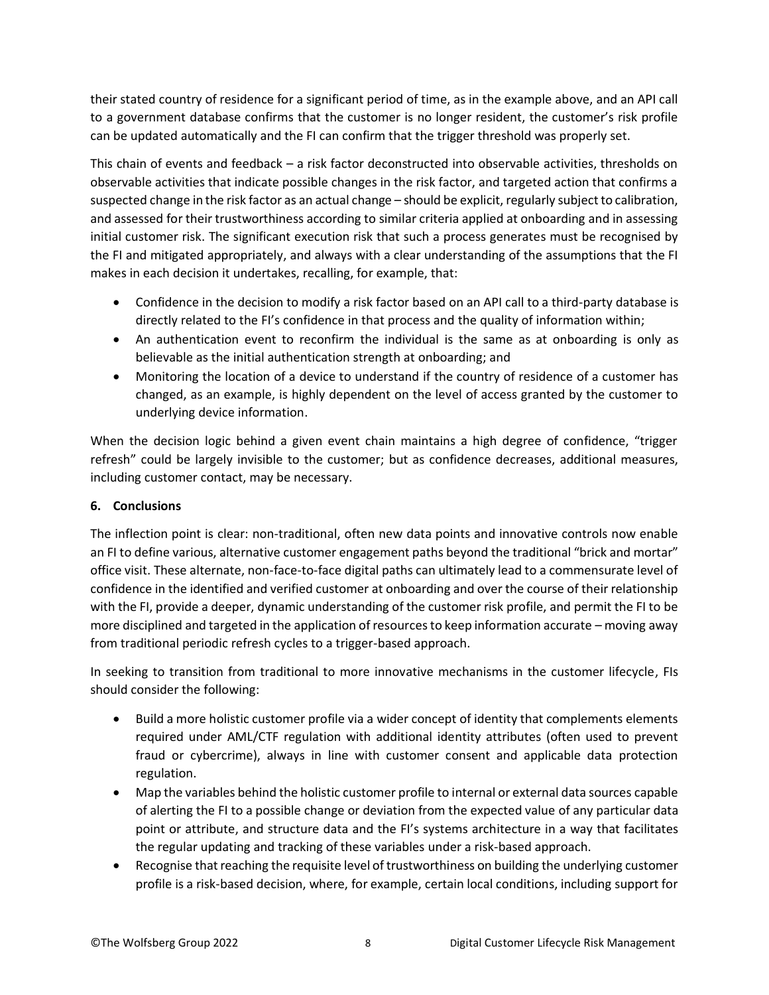their stated country of residence for a significant period of time, as in the example above, and an API call to a government database confirms that the customer is no longer resident, the customer's risk profile can be updated automatically and the FI can confirm that the trigger threshold was properly set.

This chain of events and feedback – a risk factor deconstructed into observable activities, thresholds on observable activities that indicate possible changes in the risk factor, and targeted action that confirms a suspected change in the risk factor as an actual change – should be explicit, regularly subject to calibration, and assessed for their trustworthiness according to similar criteria applied at onboarding and in assessing initial customer risk. The significant execution risk that such a process generates must be recognised by the FI and mitigated appropriately, and always with a clear understanding of the assumptions that the FI makes in each decision it undertakes, recalling, for example, that:

- Confidence in the decision to modify a risk factor based on an API call to a third-party database is directly related to the FI's confidence in that process and the quality of information within;
- An authentication event to reconfirm the individual is the same as at onboarding is only as believable as the initial authentication strength at onboarding; and
- Monitoring the location of a device to understand if the country of residence of a customer has changed, as an example, is highly dependent on the level of access granted by the customer to underlying device information.

When the decision logic behind a given event chain maintains a high degree of confidence, "trigger refresh" could be largely invisible to the customer; but as confidence decreases, additional measures, including customer contact, may be necessary.

## **6. Conclusions**

The inflection point is clear: non-traditional, often new data points and innovative controls now enable an FI to define various, alternative customer engagement paths beyond the traditional "brick and mortar" office visit. These alternate, non-face-to-face digital paths can ultimately lead to a commensurate level of confidence in the identified and verified customer at onboarding and over the course of their relationship with the FI, provide a deeper, dynamic understanding of the customer risk profile, and permit the FI to be more disciplined and targeted in the application of resources to keep information accurate – moving away from traditional periodic refresh cycles to a trigger-based approach.

In seeking to transition from traditional to more innovative mechanisms in the customer lifecycle, FIs should consider the following:

- Build a more holistic customer profile via a wider concept of identity that complements elements required under AML/CTF regulation with additional identity attributes (often used to prevent fraud or cybercrime), always in line with customer consent and applicable data protection regulation.
- Map the variables behind the holistic customer profile to internal or external data sources capable of alerting the FI to a possible change or deviation from the expected value of any particular data point or attribute, and structure data and the FI's systems architecture in a way that facilitates the regular updating and tracking of these variables under a risk-based approach.
- Recognise that reaching the requisite level of trustworthiness on building the underlying customer profile is a risk-based decision, where, for example, certain local conditions, including support for